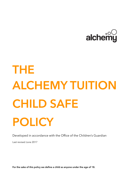

# **THE ALCHEMY TUITION CHILD SAFE POLICY**

Developed in accordance with the Office of the Children's Guardian

Last revised June 2017

**For the sake of this policy we define a child as anyone under the age of 18.**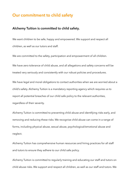#### **Our commitment to child safety**

#### **Alchemy Tuition is committed to child safety.**

We want children to be safe, happy and empowered. We support and respect all children, as well as our tutors and staff.

We are committed to the safety, participation and empowerment of all children.

We have zero tolerance of child abuse, and all allegations and safety concerns will be treated very seriously and consistently with our robust policies and procedures.

We have legal and moral obligations to contact authorities when we are worried about a child's safety. Alchemy Tuition is a mandatory reporting agency which requires us to report all potential breaches of our child safe policy to the relevant authorities, regardless of their severity.

Alchemy Tuition is committed to preventing child abuse and identifying risks early, and removing and reducing these risks. We recognise child abuse can come in a range of forms, including physical abuse, sexual abuse, psychological/emotional abuse and neglect.

Alchemy Tuition has comprehensive human resources and hiring practices for all staff and tutors to ensure they adhere to our child safe policy.

Alchemy Tuition is committed to regularly training and educating our staff and tutors on child abuse risks. We support and respect all children, as well as our staff and tutors. We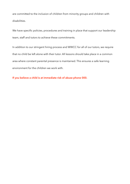are committed to the inclusion of children from minority groups and children with disabilities.

We have specific policies, procedures and training in place that support our leadership team, staff and tutors to achieve these commitments.

In addition to our stringent hiring process and WWCC for all of our tutors, we require that no child be left alone with their tutor. All lessons should take place in a common area where constant parental presence is maintained. This ensures a safe learning environment for the children we work with.

**If you believe a child is at immediate risk of abuse phone 000.**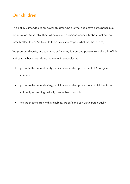# **Our children**

This policy is intended to empower children who are vital and active participants in our organisation. We involve them when making decisions, especially about matters that directly affect them. We listen to their views and respect what they have to say.

We promote diversity and tolerance at Alchemy Tuition, and people from all walks of life and cultural backgrounds are welcome. In particular we:

- promote the cultural safety, participation and empowerment of Aboriginal children
- promote the cultural safety, participation and empowerment of children from culturally and/or linguistically diverse backgrounds
- ensure that children with a disability are safe and can participate equally.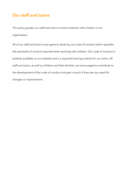## **Our staff and tutors**

This policy guides our staff and tutors on how to behave with children in our organisation.

All of our staff and tutors must agree to abide by our code of conduct which specifies the standards of conduct required when working with children. Our code of conduct is publicly available on our website and is a required training module for our tutors. All staff and tutors, as well as children and their families, are encouraged to contribute to the development of the code of conduct and get in touch if they see any need for changes or improvement.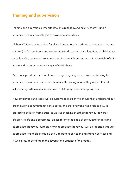### **Training and supervision**

Training and education is important to ensure that everyone at Alchemy Tuition understands that child safety is everyone's responsibility

Alchemy Tuition's culture aims for all staff and tutors (in addition to parents/carers and children) to feel confident and comfortable in discussing any allegations of child abuse or child safety concerns. We train our staff to identify, assess, and minimise risks of child abuse and to detect potential signs of child abuse.

We also support our staff and tutors through ongoing supervision and training to understand how their actions can influence the young people they work with and acknowledge when a relationship with a child may become inappropriate.

New employees and tutors will be supervised regularly to ensure they understand our organisation's commitment to child safety and that everyone has a role to play in protecting children from abuse, as well as checking that their behaviour towards children is safe and appropriate (please refer to the code of conduct to understand appropriate behaviour further). Any inappropriate behaviour will be reported through appropriate channels, including the Department of Health and Human Services and NSW Police, depending on the severity and urgency of the matter.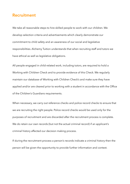#### **Recruitment**

We take all reasonable steps to hire skilled people to work with our children. We develop selection criteria and advertisements which clearly demonstrate our commitment to child safety and an awareness of our social and legislative responsibilities. Alchemy Tuition understands that when recruiting staff and tutors we have ethical as well as legislative obligations.

All people engaged in child-related work, including tutors, are required to hold a Working with Children Check and to provide evidence of this Check. We regularly maintain our database of Working with Children Check's and make sure they have applied and/or are cleared prior to working with a student in accordance with the Office of the Children's Guardians requirements.

When necessary, we carry out reference checks and police record checks to ensure that we are recruiting the right people. Police record checks would be used only for the purposes of recruitment and are discarded after the recruitment process is complete. We do retain our own records (but not the actual criminal record) if an applicant's criminal history affected our decision making process.

If during the recruitment process a person's records indicate a criminal history then the person will be given the opportunity to provide further information and context.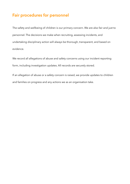# **Fair procedures for personnel**

The safety and wellbeing of children is our primary concern. We are also fair and just to personnel. The decisions we make when recruiting, assessing incidents, and undertaking disciplinary action will always be thorough, transparent, and based on evidence.

We record all allegations of abuse and safety concerns using our incident reporting form, including investigation updates. All records are securely stored.

If an allegation of abuse or a safety concern is raised, we provide updates to children and families on progress and any actions we as an organisation take.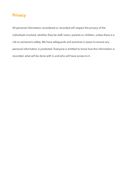# **Privacy**

All personal information considered or recorded will respect the privacy of the individuals involved, whether they be staff, tutors, parents or children, unless there is a risk to someone's safety. We have safeguards and practices in place to ensure any personal information is protected. Everyone is entitled to know how this information is recorded, what will be done with it, and who will have access to it.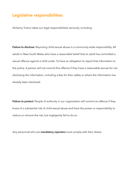## **Legislative responsibilities**

Alchemy Tuition takes our legal responsibilities seriously, including:

**Failure to disclose:** Reporting child sexual abuse is a community-wide responsibility. All adults in New South Wales who have a reasonable belief that an adult has committed a sexual offence against a child under 16 have an obligation to report that information to the police. A person will not commit this offence if they have a reasonable excuse for not disclosing the information, including a fear for their safety or where the information has already been disclosed.

Failure to protect: People of authority in our organisation will commit an offence if they know of a substantial risk of child sexual abuse and have the power or responsibility to reduce or remove the risk, but negligently fail to do so.

Any personnel who are **mandatory reporters** must comply with their duties.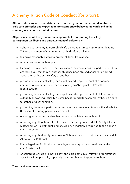# **Alchemy Tuition Code of Conduct (for tutors):**

**All staff, tutors, volunteers and directors of Alchemy Tuition are required to observe child safe principles and expectations for appropriate behaviour towards and in the company of children, as noted below.**

#### **All personnel of Alchemy Tuition are responsible for supporting the safety, participation, wellbeing and empowerment of children by:**

- o adhering to Alchemy Tuition's child safe policy at all times / upholding Alchemy Tuition's statement of commitment to child safety at all time
- o taking all reasonable steps to protect children from abuse
- o treating everyone with respect
- o listening and responding to the views and concerns of children, particularly if they are telling you that they or another child has been abused and/or are worried about their safety or the safety of another
- o promoting the cultural safety, participation and empowerment of Aboriginal children (for example, by never questioning an Aboriginal child's selfidentification)
- o promoting the cultural safety, participation and empowerment of children with culturally and/or linguistically diverse backgrounds (for example, by having a zero tolerance of discrimination)
- o promoting the safety, participation and empowerment of children with a disability (for example, during personal care activities)
- o ensuring as far as practicable that tutors are not left alone with a child
- o reporting any allegations of child abuse to Alchemy Tuition's Child Safety Officers Matt Ahern or Nic Rothquel, and ensure any allegation is reported to the police or child protection
- o reporting any child safety concerns to Alchemy Tuition's Child Safety Officers Matt Ahern or Nic Rothquel
- o if an allegation of child abuse is made, ensure as quickly as possible that the child(ren) are safe
- o encouraging children to 'have a say' and participate in all relevant organisational activities where possible, especially on issues that are important to them.

#### **Tutors and volunteers must not:**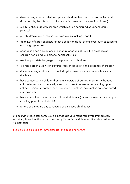- o develop any 'special' relationships with children that could be seen as favouritism (for example, the offering of gifts or special treatment for specific children)
- o exhibit behaviours with children which may be construed as unnecessarily physical
- o put children at risk of abuse (for example, by locking doors)
- o do things of a personal nature that a child can do for themselves, such as toileting or changing clothes
- o engage in open discussions of a mature or adult nature in the presence of children (for example, personal social activities)
- o use inappropriate language in the presence of children
- o express personal views on cultures, race or sexuality in the presence of children
- o discriminate against any child, including because of culture, race, ethnicity or disability
- o have contact with a child or their family outside of our organisation without our child safety officer's knowledge and/or consent (for example, catching up for coffee). Accidental contact, such as seeing people in the street, is not considered inappropriate.
- o have any online contact with a child or their family (unless necessary, for example emailing parents or students)
- o ignore or disregard any suspected or disclosed child abuse.

By observing these standards you acknowledge your responsibility to immediately report any breach of this code to Alchemy Tuition's Child Safety Officers Matt Ahern or Nic Rothquel

If you believe a child is at immediate risk of abuse phone 000.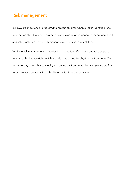## **Risk management**

In NSW, organisations are required to protect children when a risk is identified (see information about failure to protect above). In addition to general occupational health and safety risks, we proactively manage risks of abuse to our children.

We have risk management strategies in place to identify, assess, and take steps to minimise child abuse risks, which include risks posed by physical environments (for example, any doors that can lock), and online environments (for example, no staff or tutor is to have contact with a child in organisations on social media).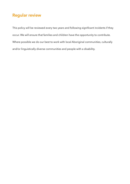# **Regular review**

This policy will be reviewed every two years and following significant incidents if they occur. We will ensure that families and children have the opportunity to contribute. Where possible we do our best to work with local Aboriginal communities, culturally and/or linguistically diverse communities and people with a disability.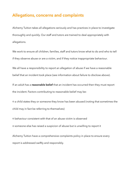#### **Allegations, concerns and complaints**

Alchemy Tuition takes all allegations seriously and has practices in place to investigate thoroughly and quickly. Our staff and tutors are trained to deal appropriately with allegations.

We work to ensure all children, families, staff and tutors know what to do and who to tell if they observe abuse or are a victim, and if they notice inappropriate behaviour.

We all have a responsibility to report an allegation of abuse if we have a reasonable

belief that an incident took place (see information about failure to disclose above).

If an adult has a **reasonable belief** that an incident has occurred then they must report the incident. Factors contributing to reasonable belief may be:

o a child states they or someone they know has been abused (noting that sometimes the child may in fact be referring to themselves)

o behaviour consistent with that of an abuse victim is observed o someone else has raised a suspicion of abuse but is unwilling to report it

Alchemy Tuition have a comprehensive complaints policy in place to ensure every report is addressed swiftly and responsibly.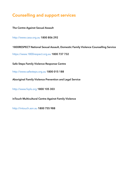# **Counselling and support services**

**The Centre Against Sexual Assault** 

http://www.casa.org.au **1800 806 292** 

**1800RESPECT National Sexual Assault, Domestic Family Violence Counselling Service** 

https://www.1800respect.org.au **1800 737 732** 

**Safe Steps Family Violence Response Centre** 

http://www.safesteps.org.au **1800 015 188** 

**Aboriginal Family Violence Prevention and Legal Service** 

http://www.fvpls.org **1800 105 303** 

**inTouch Multicultural Centre Against Family Violence** 

http://intouch.asn.au **1800 755 988**